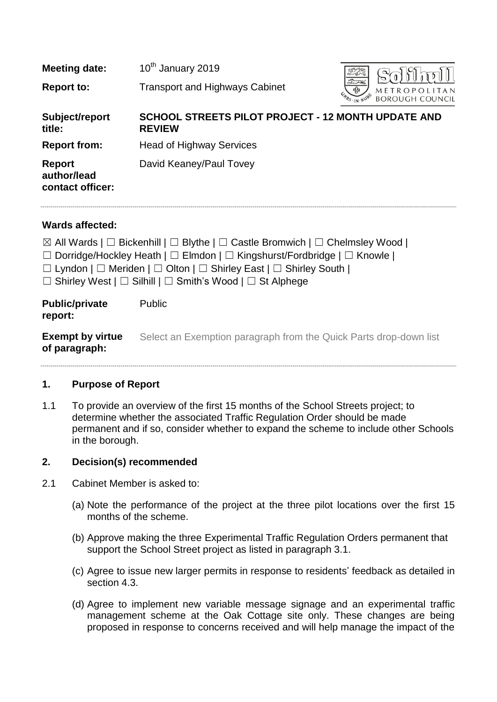| <b>Meeting date:</b>                             | 10 <sup>th</sup> January 2019                                              |                                                   |
|--------------------------------------------------|----------------------------------------------------------------------------|---------------------------------------------------|
| <b>Report to:</b>                                | <b>Transport and Highways Cabinet</b>                                      | $5 -$<br>ঞ্চ<br>METROPO<br><b>BOROUGH COUNCIL</b> |
| Subject/report<br>title:                         | <b>SCHOOL STREETS PILOT PROJECT - 12 MONTH UPDATE AND</b><br><b>REVIEW</b> |                                                   |
| <b>Report from:</b>                              | <b>Head of Highway Services</b>                                            |                                                   |
| <b>Report</b><br>author/lead<br>contact officer: | David Keaney/Paul Tovey                                                    |                                                   |

## **Wards affected:**

**of paragraph:**

|                                  | $\boxtimes$ All Wards   $\Box$ Bickenhill   $\Box$ Blythe   $\Box$ Castle Bromwich   $\Box$ Chelmsley Wood |
|----------------------------------|------------------------------------------------------------------------------------------------------------|
|                                  | $\Box$ Dorridge/Hockley Heath   $\Box$ Elmdon   $\Box$ Kingshurst/Fordbridge   $\Box$ Knowle               |
|                                  | $\Box$ Lyndon $\Box$ Meriden $\Box$ Olton $\Box$ Shirley East $\Box$ Shirley South $\Box$                  |
|                                  | $\Box$ Shirley West $\Box$ Silhill $\Box$ Smith's Wood $\Box$ St Alphege                                   |
| <b>Public/private</b><br>report: | <b>Public</b>                                                                                              |
| <b>Exempt by virtue</b>          | Select an Exemption paragraph from the Quick Parts drop-down list                                          |

#### **1. Purpose of Report**

1.1 To provide an overview of the first 15 months of the School Streets project; to determine whether the associated Traffic Regulation Order should be made permanent and if so, consider whether to expand the scheme to include other Schools in the borough.

#### **2. Decision(s) recommended**

- 2.1 Cabinet Member is asked to:
	- (a) Note the performance of the project at the three pilot locations over the first 15 months of the scheme.
	- (b) Approve making the three Experimental Traffic Regulation Orders permanent that support the School Street project as listed in paragraph 3.1.
	- (c) Agree to issue new larger permits in response to residents' feedback as detailed in section 4.3.
	- (d) Agree to implement new variable message signage and an experimental traffic management scheme at the Oak Cottage site only. These changes are being proposed in response to concerns received and will help manage the impact of the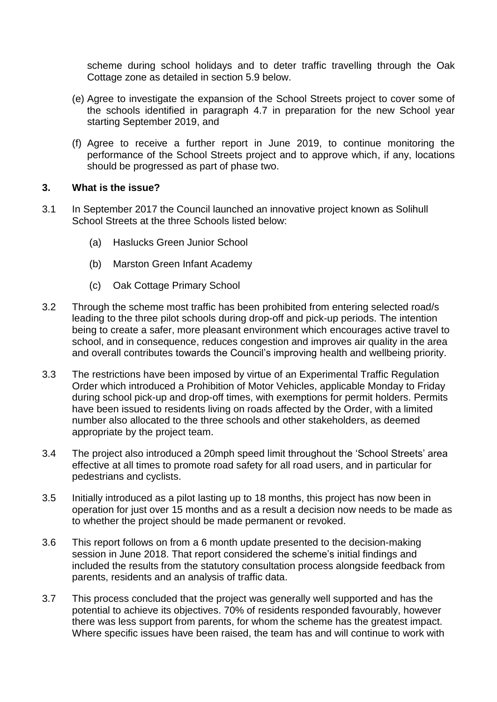scheme during school holidays and to deter traffic travelling through the Oak Cottage zone as detailed in section 5.9 below.

- (e) Agree to investigate the expansion of the School Streets project to cover some of the schools identified in paragraph 4.7 in preparation for the new School year starting September 2019, and
- (f) Agree to receive a further report in June 2019, to continue monitoring the performance of the School Streets project and to approve which, if any, locations should be progressed as part of phase two.

#### **3. What is the issue?**

- 3.1 In September 2017 the Council launched an innovative project known as Solihull School Streets at the three Schools listed below:
	- (a) Haslucks Green Junior School
	- (b) Marston Green Infant Academy
	- (c) Oak Cottage Primary School
- 3.2 Through the scheme most traffic has been prohibited from entering selected road/s leading to the three pilot schools during drop-off and pick-up periods. The intention being to create a safer, more pleasant environment which encourages active travel to school, and in consequence, reduces congestion and improves air quality in the area and overall contributes towards the Council's improving health and wellbeing priority.
- 3.3 The restrictions have been imposed by virtue of an Experimental Traffic Regulation Order which introduced a Prohibition of Motor Vehicles, applicable Monday to Friday during school pick-up and drop-off times, with exemptions for permit holders. Permits have been issued to residents living on roads affected by the Order, with a limited number also allocated to the three schools and other stakeholders, as deemed appropriate by the project team.
- 3.4 The project also introduced a 20mph speed limit throughout the 'School Streets' area effective at all times to promote road safety for all road users, and in particular for pedestrians and cyclists.
- 3.5 Initially introduced as a pilot lasting up to 18 months, this project has now been in operation for just over 15 months and as a result a decision now needs to be made as to whether the project should be made permanent or revoked.
- 3.6 This report follows on from a 6 month update presented to the decision-making session in June 2018. That report considered the scheme's initial findings and included the results from the statutory consultation process alongside feedback from parents, residents and an analysis of traffic data.
- 3.7 This process concluded that the project was generally well supported and has the potential to achieve its objectives. 70% of residents responded favourably, however there was less support from parents, for whom the scheme has the greatest impact. Where specific issues have been raised, the team has and will continue to work with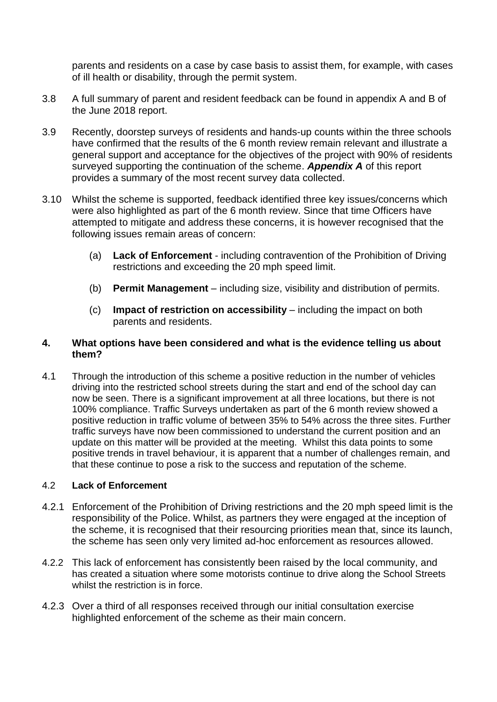parents and residents on a case by case basis to assist them, for example, with cases of ill health or disability, through the permit system.

- 3.8 A full summary of parent and resident feedback can be found in appendix A and B of the June 2018 report.
- 3.9 Recently, doorstep surveys of residents and hands-up counts within the three schools have confirmed that the results of the 6 month review remain relevant and illustrate a general support and acceptance for the objectives of the project with 90% of residents surveyed supporting the continuation of the scheme. *Appendix A* of this report provides a summary of the most recent survey data collected.
- 3.10 Whilst the scheme is supported, feedback identified three key issues/concerns which were also highlighted as part of the 6 month review. Since that time Officers have attempted to mitigate and address these concerns, it is however recognised that the following issues remain areas of concern:
	- (a) **Lack of Enforcement** including contravention of the Prohibition of Driving restrictions and exceeding the 20 mph speed limit.
	- (b) **Permit Management** including size, visibility and distribution of permits.
	- (c) **Impact of restriction on accessibility** including the impact on both parents and residents.

## **4. What options have been considered and what is the evidence telling us about them?**

4.1 Through the introduction of this scheme a positive reduction in the number of vehicles driving into the restricted school streets during the start and end of the school day can now be seen. There is a significant improvement at all three locations, but there is not 100% compliance. Traffic Surveys undertaken as part of the 6 month review showed a positive reduction in traffic volume of between 35% to 54% across the three sites. Further traffic surveys have now been commissioned to understand the current position and an update on this matter will be provided at the meeting. Whilst this data points to some positive trends in travel behaviour, it is apparent that a number of challenges remain, and that these continue to pose a risk to the success and reputation of the scheme.

#### 4.2 **Lack of Enforcement**

- 4.2.1 Enforcement of the Prohibition of Driving restrictions and the 20 mph speed limit is the responsibility of the Police. Whilst, as partners they were engaged at the inception of the scheme, it is recognised that their resourcing priorities mean that, since its launch, the scheme has seen only very limited ad-hoc enforcement as resources allowed.
- 4.2.2 This lack of enforcement has consistently been raised by the local community, and has created a situation where some motorists continue to drive along the School Streets whilst the restriction is in force.
- 4.2.3 Over a third of all responses received through our initial consultation exercise highlighted enforcement of the scheme as their main concern.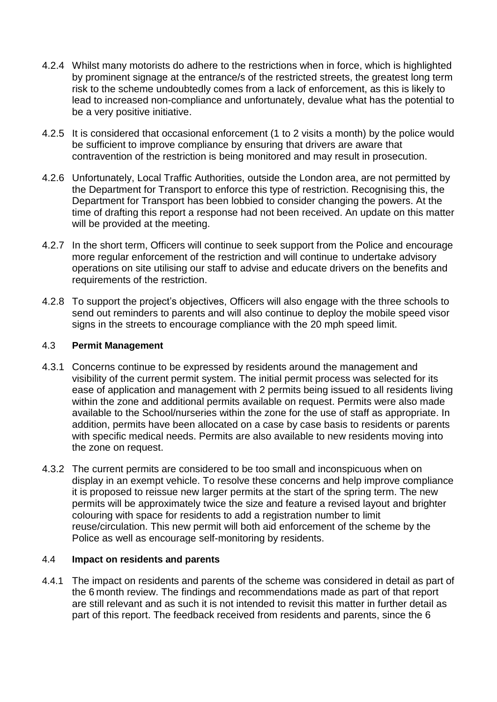- 4.2.4 Whilst many motorists do adhere to the restrictions when in force, which is highlighted by prominent signage at the entrance/s of the restricted streets, the greatest long term risk to the scheme undoubtedly comes from a lack of enforcement, as this is likely to lead to increased non-compliance and unfortunately, devalue what has the potential to be a very positive initiative.
- 4.2.5 It is considered that occasional enforcement (1 to 2 visits a month) by the police would be sufficient to improve compliance by ensuring that drivers are aware that contravention of the restriction is being monitored and may result in prosecution.
- 4.2.6 Unfortunately, Local Traffic Authorities, outside the London area, are not permitted by the Department for Transport to enforce this type of restriction. Recognising this, the Department for Transport has been lobbied to consider changing the powers. At the time of drafting this report a response had not been received. An update on this matter will be provided at the meeting.
- 4.2.7 In the short term, Officers will continue to seek support from the Police and encourage more regular enforcement of the restriction and will continue to undertake advisory operations on site utilising our staff to advise and educate drivers on the benefits and requirements of the restriction.
- 4.2.8 To support the project's objectives, Officers will also engage with the three schools to send out reminders to parents and will also continue to deploy the mobile speed visor signs in the streets to encourage compliance with the 20 mph speed limit.

#### 4.3 **Permit Management**

- 4.3.1 Concerns continue to be expressed by residents around the management and visibility of the current permit system. The initial permit process was selected for its ease of application and management with 2 permits being issued to all residents living within the zone and additional permits available on request. Permits were also made available to the School/nurseries within the zone for the use of staff as appropriate. In addition, permits have been allocated on a case by case basis to residents or parents with specific medical needs. Permits are also available to new residents moving into the zone on request.
- 4.3.2 The current permits are considered to be too small and inconspicuous when on display in an exempt vehicle. To resolve these concerns and help improve compliance it is proposed to reissue new larger permits at the start of the spring term. The new permits will be approximately twice the size and feature a revised layout and brighter colouring with space for residents to add a registration number to limit reuse/circulation. This new permit will both aid enforcement of the scheme by the Police as well as encourage self-monitoring by residents.

#### 4.4 **Impact on residents and parents**

4.4.1 The impact on residents and parents of the scheme was considered in detail as part of the 6 month review. The findings and recommendations made as part of that report are still relevant and as such it is not intended to revisit this matter in further detail as part of this report. The feedback received from residents and parents, since the 6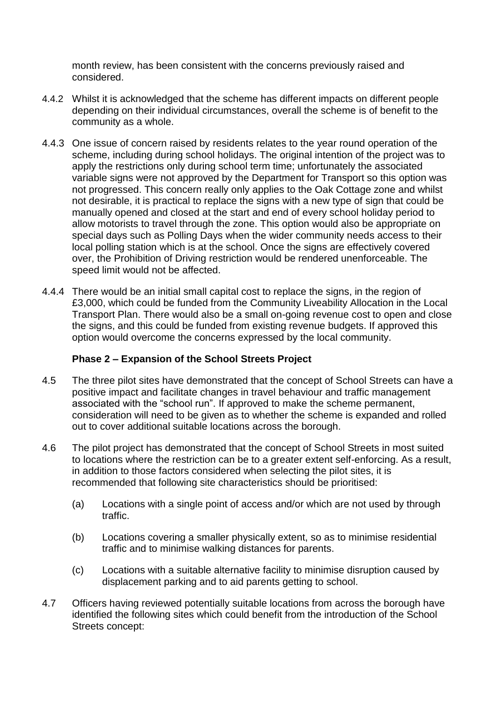month review, has been consistent with the concerns previously raised and considered.

- 4.4.2 Whilst it is acknowledged that the scheme has different impacts on different people depending on their individual circumstances, overall the scheme is of benefit to the community as a whole.
- 4.4.3 One issue of concern raised by residents relates to the year round operation of the scheme, including during school holidays. The original intention of the project was to apply the restrictions only during school term time; unfortunately the associated variable signs were not approved by the Department for Transport so this option was not progressed. This concern really only applies to the Oak Cottage zone and whilst not desirable, it is practical to replace the signs with a new type of sign that could be manually opened and closed at the start and end of every school holiday period to allow motorists to travel through the zone. This option would also be appropriate on special days such as Polling Days when the wider community needs access to their local polling station which is at the school. Once the signs are effectively covered over, the Prohibition of Driving restriction would be rendered unenforceable. The speed limit would not be affected.
- 4.4.4 There would be an initial small capital cost to replace the signs, in the region of £3,000, which could be funded from the Community Liveability Allocation in the Local Transport Plan. There would also be a small on-going revenue cost to open and close the signs, and this could be funded from existing revenue budgets. If approved this option would overcome the concerns expressed by the local community.

## **Phase 2 – Expansion of the School Streets Project**

- 4.5 The three pilot sites have demonstrated that the concept of School Streets can have a positive impact and facilitate changes in travel behaviour and traffic management associated with the "school run". If approved to make the scheme permanent, consideration will need to be given as to whether the scheme is expanded and rolled out to cover additional suitable locations across the borough.
- 4.6 The pilot project has demonstrated that the concept of School Streets in most suited to locations where the restriction can be to a greater extent self-enforcing. As a result, in addition to those factors considered when selecting the pilot sites, it is recommended that following site characteristics should be prioritised:
	- (a) Locations with a single point of access and/or which are not used by through traffic.
	- (b) Locations covering a smaller physically extent, so as to minimise residential traffic and to minimise walking distances for parents.
	- (c) Locations with a suitable alternative facility to minimise disruption caused by displacement parking and to aid parents getting to school.
- 4.7 Officers having reviewed potentially suitable locations from across the borough have identified the following sites which could benefit from the introduction of the School Streets concept: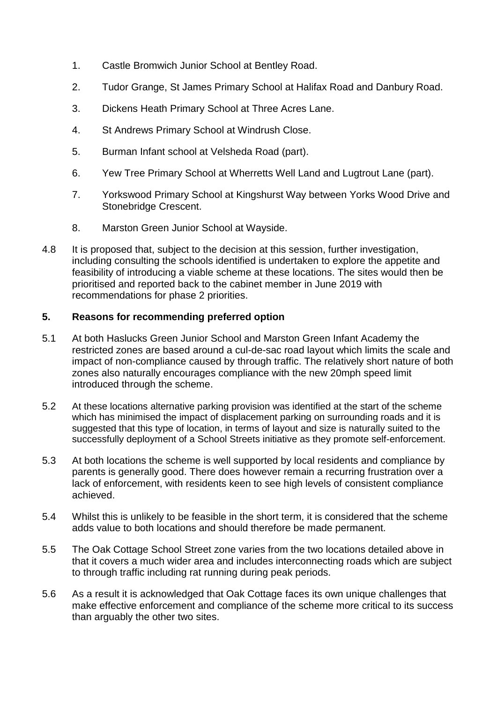- 1. Castle Bromwich Junior School at Bentley Road.
- 2. Tudor Grange, St James Primary School at Halifax Road and Danbury Road.
- 3. Dickens Heath Primary School at Three Acres Lane.
- 4. St Andrews Primary School at Windrush Close.
- 5. Burman Infant school at Velsheda Road (part).
- 6. Yew Tree Primary School at Wherretts Well Land and Lugtrout Lane (part).
- 7. Yorkswood Primary School at Kingshurst Way between Yorks Wood Drive and Stonebridge Crescent.
- 8. Marston Green Junior School at Wayside.
- 4.8 It is proposed that, subject to the decision at this session, further investigation, including consulting the schools identified is undertaken to explore the appetite and feasibility of introducing a viable scheme at these locations. The sites would then be prioritised and reported back to the cabinet member in June 2019 with recommendations for phase 2 priorities.

## **5. Reasons for recommending preferred option**

- 5.1 At both Haslucks Green Junior School and Marston Green Infant Academy the restricted zones are based around a cul-de-sac road layout which limits the scale and impact of non-compliance caused by through traffic. The relatively short nature of both zones also naturally encourages compliance with the new 20mph speed limit introduced through the scheme.
- 5.2 At these locations alternative parking provision was identified at the start of the scheme which has minimised the impact of displacement parking on surrounding roads and it is suggested that this type of location, in terms of layout and size is naturally suited to the successfully deployment of a School Streets initiative as they promote self-enforcement.
- 5.3 At both locations the scheme is well supported by local residents and compliance by parents is generally good. There does however remain a recurring frustration over a lack of enforcement, with residents keen to see high levels of consistent compliance achieved.
- 5.4 Whilst this is unlikely to be feasible in the short term, it is considered that the scheme adds value to both locations and should therefore be made permanent.
- 5.5 The Oak Cottage School Street zone varies from the two locations detailed above in that it covers a much wider area and includes interconnecting roads which are subject to through traffic including rat running during peak periods.
- 5.6 As a result it is acknowledged that Oak Cottage faces its own unique challenges that make effective enforcement and compliance of the scheme more critical to its success than arguably the other two sites.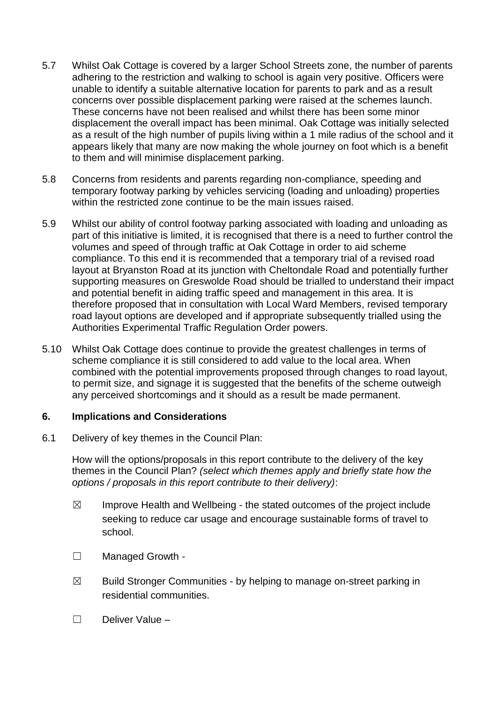- 5.7 Whilst Oak Cottage is covered by a larger School Streets zone, the number of parents adhering to the restriction and walking to school is again very positive. Officers were unable to identify a suitable alternative location for parents to park and as a result concerns over possible displacement parking were raised at the schemes launch. These concerns have not been realised and whilst there has been some minor displacement the overall impact has been minimal. Oak Cottage was initially selected as a result of the high number of pupils living within a 1 mile radius of the school and it appears likely that many are now making the whole journey on foot which is a benefit to them and will minimise displacement parking.
- 5.8 Concerns from residents and parents regarding non-compliance, speeding and temporary footway parking by vehicles servicing (loading and unloading) properties within the restricted zone continue to be the main issues raised.
- 5.9 Whilst our ability of control footway parking associated with loading and unloading as part of this initiative is limited, it is recognised that there is a need to further control the volumes and speed of through traffic at Oak Cottage in order to aid scheme compliance. To this end it is recommended that a temporary trial of a revised road layout at Bryanston Road at its junction with Cheltondale Road and potentially further supporting measures on Greswolde Road should be trialled to understand their impact and potential benefit in aiding traffic speed and management in this area. It is therefore proposed that in consultation with Local Ward Members, revised temporary road layout options are developed and if appropriate subsequently trialled using the Authorities Experimental Traffic Regulation Order powers.
- 5.10 Whilst Oak Cottage does continue to provide the greatest challenges in terms of scheme compliance it is still considered to add value to the local area. When combined with the potential improvements proposed through changes to road layout, to permit size, and signage it is suggested that the benefits of the scheme outweigh any perceived shortcomings and it should as a result be made permanent.

#### **6. Implications and Considerations**

6.1 Delivery of key themes in the Council Plan:

How will the options/proposals in this report contribute to the delivery of the key themes in the Council Plan? *(select which themes apply and briefly state how the options / proposals in this report contribute to their delivery)*:

- $\boxtimes$  Improve Health and Wellbeing the stated outcomes of the project include seeking to reduce car usage and encourage sustainable forms of travel to school.
- ☐ Managed Growth -
- $\boxtimes$  Build Stronger Communities by helping to manage on-street parking in residential communities.
- ☐ Deliver Value –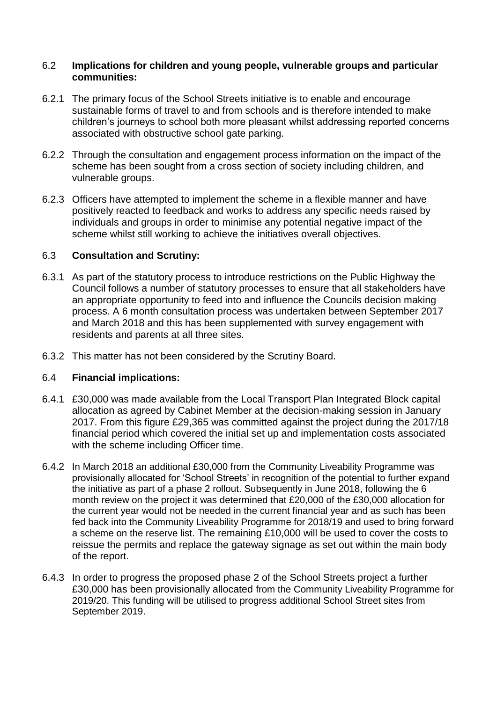#### 6.2 **Implications for children and young people, vulnerable groups and particular communities:**

- 6.2.1 The primary focus of the School Streets initiative is to enable and encourage sustainable forms of travel to and from schools and is therefore intended to make children's journeys to school both more pleasant whilst addressing reported concerns associated with obstructive school gate parking.
- 6.2.2 Through the consultation and engagement process information on the impact of the scheme has been sought from a cross section of society including children, and vulnerable groups.
- 6.2.3 Officers have attempted to implement the scheme in a flexible manner and have positively reacted to feedback and works to address any specific needs raised by individuals and groups in order to minimise any potential negative impact of the scheme whilst still working to achieve the initiatives overall objectives.

## 6.3 **Consultation and Scrutiny:**

- 6.3.1 As part of the statutory process to introduce restrictions on the Public Highway the Council follows a number of statutory processes to ensure that all stakeholders have an appropriate opportunity to feed into and influence the Councils decision making process. A 6 month consultation process was undertaken between September 2017 and March 2018 and this has been supplemented with survey engagement with residents and parents at all three sites.
- 6.3.2 This matter has not been considered by the Scrutiny Board.

## 6.4 **Financial implications:**

- 6.4.1 £30,000 was made available from the Local Transport Plan Integrated Block capital allocation as agreed by Cabinet Member at the decision-making session in January 2017. From this figure £29,365 was committed against the project during the 2017/18 financial period which covered the initial set up and implementation costs associated with the scheme including Officer time.
- 6.4.2 In March 2018 an additional £30,000 from the Community Liveability Programme was provisionally allocated for 'School Streets' in recognition of the potential to further expand the initiative as part of a phase 2 rollout. Subsequently in June 2018, following the 6 month review on the project it was determined that £20,000 of the £30,000 allocation for the current year would not be needed in the current financial year and as such has been fed back into the Community Liveability Programme for 2018/19 and used to bring forward a scheme on the reserve list. The remaining £10,000 will be used to cover the costs to reissue the permits and replace the gateway signage as set out within the main body of the report.
- 6.4.3 In order to progress the proposed phase 2 of the School Streets project a further £30,000 has been provisionally allocated from the Community Liveability Programme for 2019/20. This funding will be utilised to progress additional School Street sites from September 2019.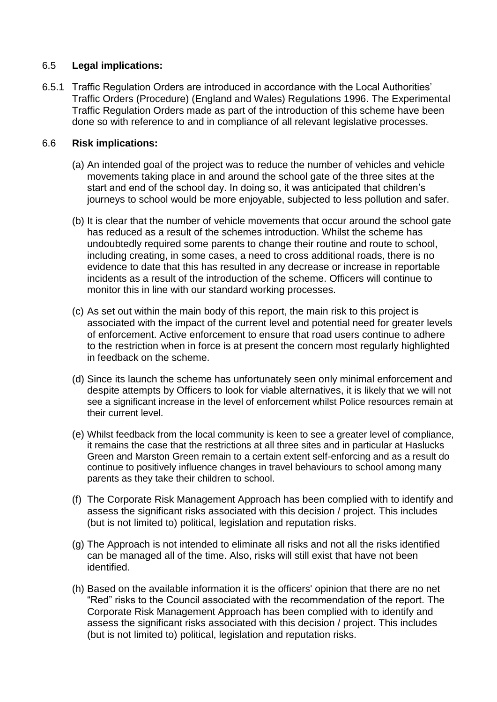## 6.5 **Legal implications:**

6.5.1 Traffic Regulation Orders are introduced in accordance with the Local Authorities' Traffic Orders (Procedure) (England and Wales) Regulations 1996. The Experimental Traffic Regulation Orders made as part of the introduction of this scheme have been done so with reference to and in compliance of all relevant legislative processes.

## 6.6 **Risk implications:**

- (a) An intended goal of the project was to reduce the number of vehicles and vehicle movements taking place in and around the school gate of the three sites at the start and end of the school day. In doing so, it was anticipated that children's journeys to school would be more enjoyable, subjected to less pollution and safer.
- (b) It is clear that the number of vehicle movements that occur around the school gate has reduced as a result of the schemes introduction. Whilst the scheme has undoubtedly required some parents to change their routine and route to school, including creating, in some cases, a need to cross additional roads, there is no evidence to date that this has resulted in any decrease or increase in reportable incidents as a result of the introduction of the scheme. Officers will continue to monitor this in line with our standard working processes.
- (c) As set out within the main body of this report, the main risk to this project is associated with the impact of the current level and potential need for greater levels of enforcement. Active enforcement to ensure that road users continue to adhere to the restriction when in force is at present the concern most regularly highlighted in feedback on the scheme.
- (d) Since its launch the scheme has unfortunately seen only minimal enforcement and despite attempts by Officers to look for viable alternatives, it is likely that we will not see a significant increase in the level of enforcement whilst Police resources remain at their current level.
- (e) Whilst feedback from the local community is keen to see a greater level of compliance, it remains the case that the restrictions at all three sites and in particular at Haslucks Green and Marston Green remain to a certain extent self-enforcing and as a result do continue to positively influence changes in travel behaviours to school among many parents as they take their children to school.
- (f) The Corporate Risk Management Approach has been complied with to identify and assess the significant risks associated with this decision / project. This includes (but is not limited to) political, legislation and reputation risks.
- (g) The Approach is not intended to eliminate all risks and not all the risks identified can be managed all of the time. Also, risks will still exist that have not been identified.
- (h) Based on the available information it is the officers' opinion that there are no net "Red" risks to the Council associated with the recommendation of the report. The Corporate Risk Management Approach has been complied with to identify and assess the significant risks associated with this decision / project. This includes (but is not limited to) political, legislation and reputation risks.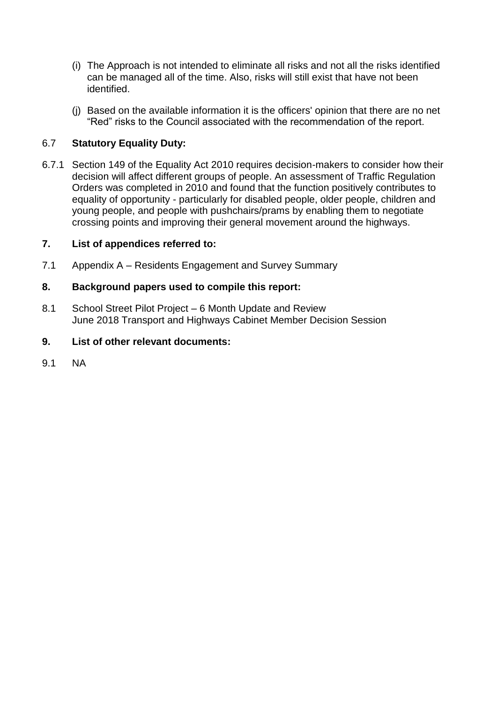- (i) The Approach is not intended to eliminate all risks and not all the risks identified can be managed all of the time. Also, risks will still exist that have not been identified.
- (j) Based on the available information it is the officers' opinion that there are no net "Red" risks to the Council associated with the recommendation of the report.

## 6.7 **Statutory Equality Duty:**

6.7.1 Section 149 of the Equality Act 2010 requires decision-makers to consider how their decision will affect different groups of people. An assessment of Traffic Regulation Orders was completed in 2010 and found that the function positively contributes to equality of opportunity - particularly for disabled people, older people, children and young people, and people with pushchairs/prams by enabling them to negotiate crossing points and improving their general movement around the highways.

## **7. List of appendices referred to:**

7.1 Appendix A – Residents Engagement and Survey Summary

## **8. Background papers used to compile this report:**

8.1 School Street Pilot Project – 6 Month Update and Review June 2018 Transport and Highways Cabinet Member Decision Session

## **9. List of other relevant documents:**

9.1 NA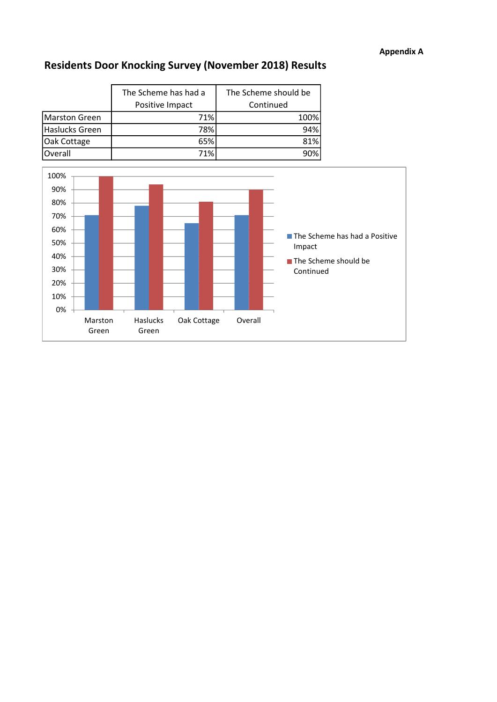## Appendix A

## Residents Door Knocking Survey (November 2018) Results

|                | The Scheme has had a<br>Positive Impact | The Scheme should be<br>Continued |
|----------------|-----------------------------------------|-----------------------------------|
| Marston Green  | 71%                                     | 100%                              |
| Haslucks Green | 78%                                     | 94%                               |
| Oak Cottage    | 65%                                     | 81%                               |
| Overall        | 71%                                     | 90%                               |